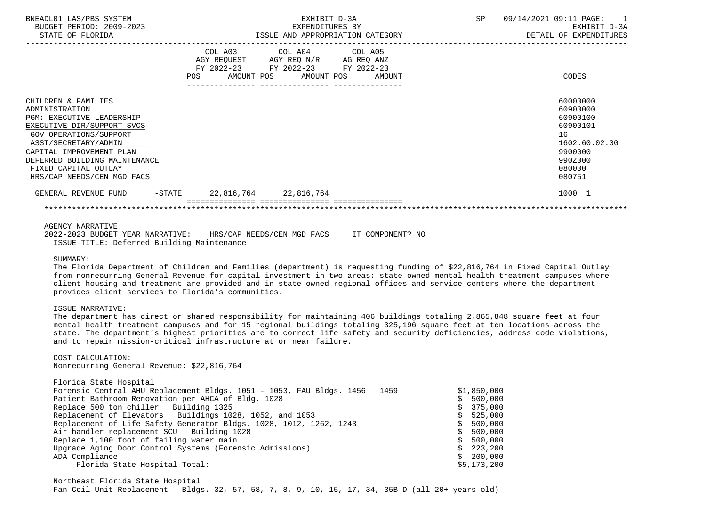| BNEADL01 LAS/PBS SYSTEM<br>BUDGET PERIOD: 2009-2023<br>STATE OF FLORIDA                                                                                                                                                                                                             | EXHIBIT D-3A<br>EXPENDITURES BY<br>ISSUE AND APPROPRIATION CATEGORY       |                                                                          |  | 09/14/2021 09:11 PAGE:<br>$\overline{1}$<br>EXHIBIT D-3A<br>DETAIL OF EXPENDITURES                            |
|-------------------------------------------------------------------------------------------------------------------------------------------------------------------------------------------------------------------------------------------------------------------------------------|---------------------------------------------------------------------------|--------------------------------------------------------------------------|--|---------------------------------------------------------------------------------------------------------------|
|                                                                                                                                                                                                                                                                                     | COL A03<br>AGY REQUEST AGY REQ N/R AG REQ ANZ<br>FY 2022-23<br><b>POS</b> | COL A04 COL A05<br>FY 2022-23 FY 2022-23<br>AMOUNT POS AMOUNT POS AMOUNT |  | CODES                                                                                                         |
| CHILDREN & FAMILIES<br>ADMINISTRATION<br><b>PGM: EXECUTIVE LEADERSHIP</b><br>EXECUTIVE DIR/SUPPORT SVCS<br><b>GOV OPERATIONS/SUPPORT</b><br>ASST/SECRETARY/ADMIN<br>CAPITAL IMPROVEMENT PLAN<br>DEFERRED BUILDING MAINTENANCE<br>FIXED CAPITAL OUTLAY<br>HRS/CAP NEEDS/CEN MGD FACS |                                                                           |                                                                          |  | 60000000<br>60900000<br>60900100<br>60900101<br>16<br>1602.60.02.00<br>9900000<br>990Z000<br>080000<br>080751 |
| GENERAL REVENUE FUND<br>-STATE                                                                                                                                                                                                                                                      | 22,816,764 22,816,764                                                     |                                                                          |  | 1000 1                                                                                                        |
|                                                                                                                                                                                                                                                                                     |                                                                           |                                                                          |  |                                                                                                               |

## AGENCY NARRATIVE:

|  | 2022-2023 BUDGET YEAR NARRATIVE: |                                            | HRS/CAP NEEDS/CEN MGD FACS |  | IT COMPONENT? NO |  |
|--|----------------------------------|--------------------------------------------|----------------------------|--|------------------|--|
|  |                                  | ISSUE TITLE: Deferred Building Maintenance |                            |  |                  |  |

### SUMMARY:

 The Florida Department of Children and Families (department) is requesting funding of \$22,816,764 in Fixed Capital Outlay from nonrecurring General Revenue for capital investment in two areas: state-owned mental health treatment campuses where client housing and treatment are provided and in state-owned regional offices and service centers where the department provides client services to Florida's communities.

#### ISSUE NARRATIVE:

 The department has direct or shared responsibility for maintaining 406 buildings totaling 2,865,848 square feet at four mental health treatment campuses and for 15 regional buildings totaling 325,196 square feet at ten locations across the state. The department's highest priorities are to correct life safety and security deficiencies, address code violations, and to repair mission-critical infrastructure at or near failure.

# COST CALCULATION:

Nonrecurring General Revenue: \$22,816,764

| Florida State Hospital                                                    |             |
|---------------------------------------------------------------------------|-------------|
| Forensic Central AHU Replacement Bldgs. 1051 - 1053, FAU Bldgs. 1456 1459 | \$1,850,000 |
| Patient Bathroom Renovation per AHCA of Bldg. 1028                        | \$500,000   |
| Replace 500 ton chiller Building 1325                                     | \$375,000   |
| Replacement of Elevators Buildings 1028, 1052, and 1053                   | \$525,000   |
| Replacement of Life Safety Generator Bldgs. 1028, 1012, 1262, 1243        | \$500,000   |
| Air handler replacement SCU Building 1028                                 | \$500,000   |
| Replace 1,100 foot of failing water main                                  | \$500,000   |
| Upgrade Aging Door Control Systems (Forensic Admissions)                  | \$223, 200  |
| ADA Compliance                                                            | \$200,000   |
| Florida State Hospital Total:                                             | \$5,173,200 |

 Northeast Florida State Hospital Fan Coil Unit Replacement - Bldgs. 32, 57, 58, 7, 8, 9, 10, 15, 17, 34, 35B-D (all 20+ years old)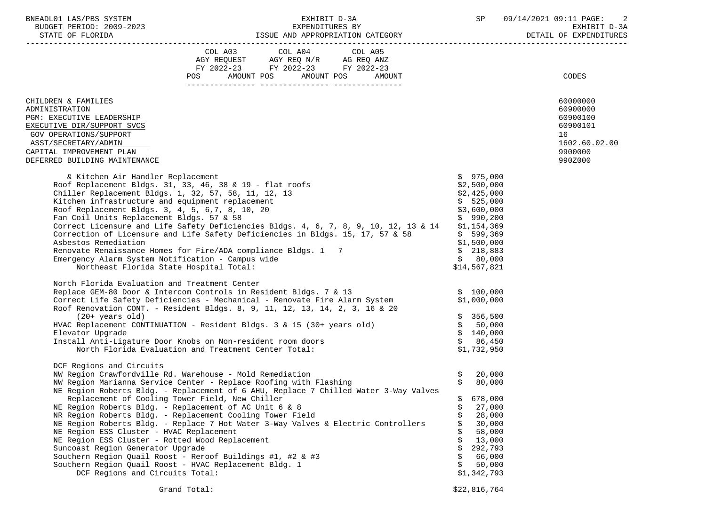BUDGET PERIOD: 2009-2023 EXPENDITURES BY EXHIBIT D-3A

|                                                                                                                                                                                                                                                                                                                                                                                                                                                                                                                                                                                                                                                                                                                                                                                                                 | FY 2022-23 FY 2022-23 FY 2022-23 |        |                                  |                                                                                                                                                                      |                                                    |
|-----------------------------------------------------------------------------------------------------------------------------------------------------------------------------------------------------------------------------------------------------------------------------------------------------------------------------------------------------------------------------------------------------------------------------------------------------------------------------------------------------------------------------------------------------------------------------------------------------------------------------------------------------------------------------------------------------------------------------------------------------------------------------------------------------------------|----------------------------------|--------|----------------------------------|----------------------------------------------------------------------------------------------------------------------------------------------------------------------|----------------------------------------------------|
|                                                                                                                                                                                                                                                                                                                                                                                                                                                                                                                                                                                                                                                                                                                                                                                                                 | POS AMOUNT POS AMOUNT POS        | AMOUNT |                                  |                                                                                                                                                                      | CODES                                              |
| CHILDREN & FAMILIES<br>ADMINISTRATION<br>PGM: EXECUTIVE LEADERSHIP<br>EXECUTIVE DIR/SUPPORT SVCS<br>GOV OPERATIONS/SUPPORT                                                                                                                                                                                                                                                                                                                                                                                                                                                                                                                                                                                                                                                                                      |                                  |        |                                  |                                                                                                                                                                      | 60000000<br>60900000<br>60900100<br>60900101<br>16 |
| ASST/SECRETARY/ADMIN<br>CAPITAL IMPROVEMENT PLAN<br>DEFERRED BUILDING MAINTENANCE                                                                                                                                                                                                                                                                                                                                                                                                                                                                                                                                                                                                                                                                                                                               |                                  |        |                                  |                                                                                                                                                                      | 1602.60.02.00<br>9900000<br>990Z000                |
| & Kitchen Air Handler Replacement<br>Roof Replacement Bldgs. 31, 33, 46, 38 & 19 - flat roofs<br>Chiller Replacement Bldgs. 1, 32, 57, 58, 11, 12, 13<br>Kitchen infrastructure and equipment replacement<br>Roof Replacement Bldgs. 3, 4, 5, 6, 7, 8, 10, 20<br>Fan Coil Units Replacement Bldgs. 57 & 58<br>Correct Licensure and Life Safety Deficiencies Bldgs. 4, 6, 7, 8, 9, 10, 12, 13 & 14<br>Correction of Licensure and Life Safety Deficiencies in Bldgs. 15, 17, 57 & 58<br>Asbestos Remediation<br>Renovate Renaissance Homes for Fire/ADA compliance Bldgs. 1 7<br>Emergency Alarm System Notification - Campus wide<br>Northeast Florida State Hospital Total:                                                                                                                                   |                                  |        |                                  | \$975,000<br>\$2,500,000<br>\$2,425,000<br>\$525,000<br>\$3,600,000<br>\$990,200<br>\$1,154,369<br>\$599,369<br>\$1,500,000<br>\$218,883<br>\$80,000<br>\$14,567,821 |                                                    |
| North Florida Evaluation and Treatment Center<br>Replace GEM-80 Door & Intercom Controls in Resident Bldgs. 7 & 13<br>Correct Life Safety Deficiencies - Mechanical - Renovate Fire Alarm System<br>Roof Renovation CONT - Pecident Bldgs - Contract Controller Pire Alarm System<br>Roof Renovation CONT. - Resident Bldgs. 8, 9, 11, 12, 13, 14, 2, 3, 16 & 20<br>$(20+ years old)$<br>HVAC Replacement CONTINUATION - Resident Bldgs. 3 & 15 (30+ years old)<br>Elevator Upgrade<br>Install Anti-Ligature Door Knobs on Non-resident room doors<br>North Florida Evaluation and Treatment Center Total:                                                                                                                                                                                                      |                                  |        |                                  | \$100,000<br>\$1,000,000<br>\$356,500<br>\$50,000<br>\$140,000<br>\$86,450<br>\$1,732,950                                                                            |                                                    |
| DCF Regions and Circuits<br>NW Region Crawfordville Rd. Warehouse - Mold Remediation<br>NW Region Marianna Service Center - Replace Roofing with Flashing<br>NE Region Roberts Bldg. - Replacement of 6 AHU, Replace 7 Chilled Water 3-Way Valves<br>Replacement of Cooling Tower Field, New Chiller<br>NE Region Roberts Bldg. - Replacement of AC Unit 6 & 8<br>NR Region Roberts Bldg. - Replacement Cooling Tower Field<br>NE Region Roberts Bldg. - Replace 7 Hot Water 3-Way Valves & Electric Controllers<br>NE Region ESS Cluster - HVAC Replacement<br>NE Region ESS Cluster - Rotted Wood Replacement<br>Suncoast Region Generator Upgrade<br>Southern Region Quail Roost - Reroof Buildings #1, #2 & #3<br>Southern Region Ouail Roost - HVAC Replacement Bldg. 1<br>DCF Regions and Circuits Total: |                                  |        | Ŝ.<br>\$<br>\$<br>\$<br>\$<br>Ŝ. | 20,000<br>80,000<br>\$678,000<br>27,000<br>28,000<br>30,000<br>58,000<br>13,000<br>292,793<br>66,000<br>50,000<br>\$1,342,793                                        |                                                    |
|                                                                                                                                                                                                                                                                                                                                                                                                                                                                                                                                                                                                                                                                                                                                                                                                                 | Grand Total:                     |        |                                  | \$22,816,764                                                                                                                                                         |                                                    |

ISSUE AND APPROPRIATION CATEGORY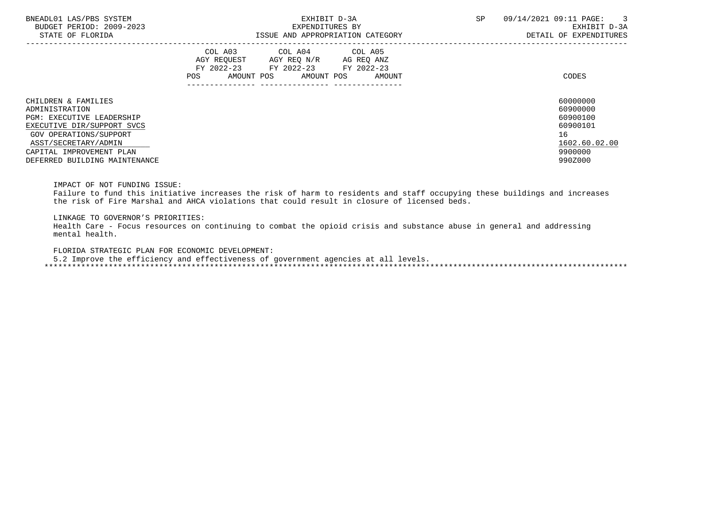| BNEADL01 LAS/PBS SYSTEM<br>BUDGET PERIOD: 2009-2023<br>STATE OF FLORIDA | EXHIBIT D-3A<br>EXPENDITURES BY<br>ISSUE AND APPROPRIATION CATEGORY                                                                               | <b>SP</b><br>09/14/2021 09:11 PAGE:<br>$\overline{\phantom{a}}$ 3<br>EXHIBIT D-3A<br>DETAIL OF EXPENDITURES |
|-------------------------------------------------------------------------|---------------------------------------------------------------------------------------------------------------------------------------------------|-------------------------------------------------------------------------------------------------------------|
|                                                                         | COL A03 COL A04 COL A05<br>AGY REOUEST AGY REO N/R<br>AG REQ ANZ<br>FY 2022-23 FY 2022-23 FY 2022-23<br>AMOUNT POS<br>AMOUNT POS<br>POS<br>AMOUNT | CODES                                                                                                       |
| CHILDREN & FAMILIES<br>ADMINISTRATION                                   |                                                                                                                                                   | 60000000<br>60900000                                                                                        |
| <b>PGM: EXECUTIVE LEADERSHIP</b>                                        |                                                                                                                                                   | 60900100                                                                                                    |
| EXECUTIVE DIR/SUPPORT SVCS                                              |                                                                                                                                                   | 60900101                                                                                                    |
| GOV OPERATIONS/SUPPORT                                                  |                                                                                                                                                   | 16                                                                                                          |
| ASST/SECRETARY/ADMIN                                                    |                                                                                                                                                   | 1602.60.02.00                                                                                               |
| CAPITAL IMPROVEMENT PLAN                                                |                                                                                                                                                   | 9900000                                                                                                     |
| DEFERRED BUILDING MAINTENANCE                                           |                                                                                                                                                   | 990Z000                                                                                                     |

IMPACT OF NOT FUNDING ISSUE:

 Failure to fund this initiative increases the risk of harm to residents and staff occupying these buildings and increases the risk of Fire Marshal and AHCA violations that could result in closure of licensed beds.

LINKAGE TO GOVERNOR'S PRIORITIES:

 Health Care - Focus resources on continuing to combat the opioid crisis and substance abuse in general and addressing mental health.

FLORIDA STRATEGIC PLAN FOR ECONOMIC DEVELOPMENT:

5.2 Improve the efficiency and effectiveness of government agencies at all levels.

\*\*\*\*\*\*\*\*\*\*\*\*\*\*\*\*\*\*\*\*\*\*\*\*\*\*\*\*\*\*\*\*\*\*\*\*\*\*\*\*\*\*\*\*\*\*\*\*\*\*\*\*\*\*\*\*\*\*\*\*\*\*\*\*\*\*\*\*\*\*\*\*\*\*\*\*\*\*\*\*\*\*\*\*\*\*\*\*\*\*\*\*\*\*\*\*\*\*\*\*\*\*\*\*\*\*\*\*\*\*\*\*\*\*\*\*\*\*\*\*\*\*\*\*\*\*\*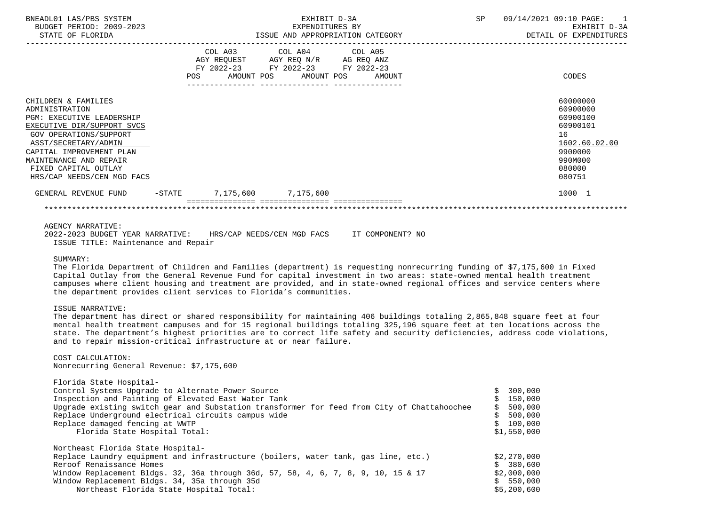| BNEADL01 LAS/PBS SYSTEM<br>BUDGET PERIOD: 2009-2023<br>STATE OF FLORIDA                                                                                                                                                                                               | EXHIBIT D-3A<br>EXPENDITURES BY<br>ISSUE AND APPROPRIATION CATEGORY |                                                                                                                                                        |  |  | <b>SP</b> | 09/14/2021 09:10 PAGE:<br>$\overline{1}$<br>EXHIBIT D-3A<br>DETAIL OF EXPENDITURES                            |
|-----------------------------------------------------------------------------------------------------------------------------------------------------------------------------------------------------------------------------------------------------------------------|---------------------------------------------------------------------|--------------------------------------------------------------------------------------------------------------------------------------------------------|--|--|-----------|---------------------------------------------------------------------------------------------------------------|
|                                                                                                                                                                                                                                                                       |                                                                     | COL A03 COL A04 COL A05<br>AGY REQUEST AGY REQ N/R AG REQ ANZ<br>FY 2022-23 FY 2022-23 FY 2022-23<br>POS AMOUNT POS AMOUNT POS AMOUNT<br>------------- |  |  |           | CODES                                                                                                         |
| CHILDREN & FAMILIES<br>ADMINISTRATION<br><b>PGM: EXECUTIVE LEADERSHIP</b><br>EXECUTIVE DIR/SUPPORT SVCS<br>GOV OPERATIONS/SUPPORT<br>ASST/SECRETARY/ADMIN<br>CAPITAL IMPROVEMENT PLAN<br>MAINTENANCE AND REPAIR<br>FIXED CAPITAL OUTLAY<br>HRS/CAP NEEDS/CEN MGD FACS |                                                                     |                                                                                                                                                        |  |  |           | 60000000<br>60900000<br>60900100<br>60900101<br>16<br>1602.60.02.00<br>9900000<br>990M000<br>080000<br>080751 |
| GENERAL REVENUE FUND                                                                                                                                                                                                                                                  |                                                                     | -STATE 7,175,600 7,175,600                                                                                                                             |  |  |           | 1000 1                                                                                                        |
|                                                                                                                                                                                                                                                                       |                                                                     |                                                                                                                                                        |  |  |           |                                                                                                               |

# AGENCY NARRATIVE:

|  | 2022-2023 BUDGET YEAR NARRATIVE:    |  | HRS/CAP NEEDS/CEN MGD FACS |  | IT COMPONENT? NO |  |
|--|-------------------------------------|--|----------------------------|--|------------------|--|
|  | ISSUE TITLE: Maintenance and Repair |  |                            |  |                  |  |

### SUMMARY:

 The Florida Department of Children and Families (department) is requesting nonrecurring funding of \$7,175,600 in Fixed Capital Outlay from the General Revenue Fund for capital investment in two areas: state-owned mental health treatment campuses where client housing and treatment are provided, and in state-owned regional offices and service centers where the department provides client services to Florida's communities.

### ISSUE NARRATIVE:

 The department has direct or shared responsibility for maintaining 406 buildings totaling 2,865,848 square feet at four mental health treatment campuses and for 15 regional buildings totaling 325,196 square feet at ten locations across the state. The department's highest priorities are to correct life safety and security deficiencies, address code violations, and to repair mission-critical infrastructure at or near failure.

 COST CALCULATION: Nonrecurring General Revenue: \$7,175,600

| Florida State Hospital-<br>Control Systems Upgrade to Alternate Power Source<br>Inspection and Painting of Elevated East Water Tank<br>Upgrade existing switch gear and Substation transformer for feed from City of Chattahoochee<br>Replace Underground electrical circuits campus wide | 300,000<br>150,000<br>500,000<br>500,000 |
|-------------------------------------------------------------------------------------------------------------------------------------------------------------------------------------------------------------------------------------------------------------------------------------------|------------------------------------------|
| Replace damaged fencing at WWTP<br>Florida State Hospital Total:                                                                                                                                                                                                                          | 100,000<br>\$1,550,000                   |
|                                                                                                                                                                                                                                                                                           |                                          |
| Northeast Florida State Hospital-                                                                                                                                                                                                                                                         |                                          |
| Replace Laundry equipment and infrastructure (boilers, water tank, gas line, etc.)                                                                                                                                                                                                        | \$2.270.000                              |
| Reroof Renaissance Homes                                                                                                                                                                                                                                                                  | \$380.600                                |
| Window Replacement Bldgs. 32, 36a through 36d, 57, 58, 4, 6, 7, 8, 9, 10, 15 & 17                                                                                                                                                                                                         | \$2,000,000                              |
| Window Replacement Bldgs. 34, 35a through 35d                                                                                                                                                                                                                                             | \$550.000                                |
| Northeast Florida State Hospital Total:                                                                                                                                                                                                                                                   | \$5,200,600                              |